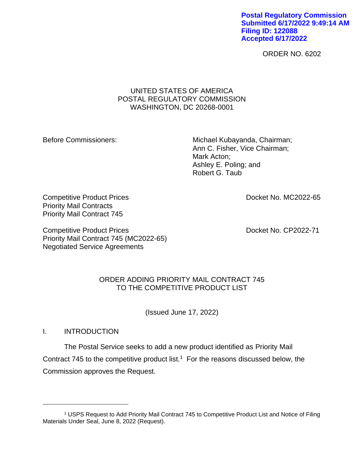**Postal Regulatory Commission Submitted 6/17/2022 9:49:14 AM Filing ID: 122088 Accepted 6/17/2022**

ORDER NO. 6202

#### UNITED STATES OF AMERICA POSTAL REGULATORY COMMISSION WASHINGTON, DC 20268-0001

Before Commissioners: Michael Kubayanda, Chairman; Ann C. Fisher, Vice Chairman; Mark Acton; Ashley E. Poling; and Robert G. Taub

Competitive Product Prices **Docket No. MC2022-65** Priority Mail Contracts Priority Mail Contract 745

Competitive Product Prices **Docket No. CP2022-71** Priority Mail Contract 745 (MC2022-65) Negotiated Service Agreements

# ORDER ADDING PRIORITY MAIL CONTRACT 745 TO THE COMPETITIVE PRODUCT LIST

(Issued June 17, 2022)

I. INTRODUCTION

The Postal Service seeks to add a new product identified as Priority Mail Contract 745 to the competitive product list.<sup>1</sup> For the reasons discussed below, the Commission approves the Request.

<sup>1</sup> USPS Request to Add Priority Mail Contract 745 to Competitive Product List and Notice of Filing Materials Under Seal, June 8, 2022 (Request).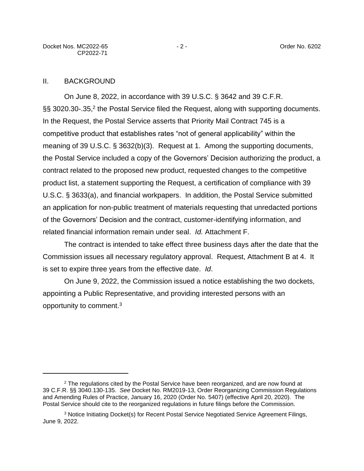#### II. BACKGROUND

On June 8, 2022, in accordance with 39 U.S.C. § 3642 and 39 C.F.R. §§ 3020.30-.35,<sup>2</sup> the Postal Service filed the Request, along with supporting documents. In the Request, the Postal Service asserts that Priority Mail Contract 745 is a competitive product that establishes rates "not of general applicability" within the meaning of 39 U.S.C. § 3632(b)(3). Request at 1. Among the supporting documents, the Postal Service included a copy of the Governors' Decision authorizing the product, a contract related to the proposed new product, requested changes to the competitive product list, a statement supporting the Request, a certification of compliance with 39 U.S.C. § 3633(a), and financial workpapers. In addition, the Postal Service submitted an application for non-public treatment of materials requesting that unredacted portions of the Governors' Decision and the contract, customer-identifying information, and related financial information remain under seal. *Id.* Attachment F.

The contract is intended to take effect three business days after the date that the Commission issues all necessary regulatory approval. Request, Attachment B at 4. It is set to expire three years from the effective date. *Id*.

On June 9, 2022, the Commission issued a notice establishing the two dockets, appointing a Public Representative, and providing interested persons with an opportunity to comment.<sup>3</sup>

<sup>&</sup>lt;sup>2</sup> The regulations cited by the Postal Service have been reorganized, and are now found at 39 C.F.R. §§ 3040.130-135. *See* Docket No. RM2019-13, Order Reorganizing Commission Regulations and Amending Rules of Practice, January 16, 2020 (Order No. 5407) (effective April 20, 2020). The Postal Service should cite to the reorganized regulations in future filings before the Commission.

<sup>3</sup> Notice Initiating Docket(s) for Recent Postal Service Negotiated Service Agreement Filings, June 9, 2022.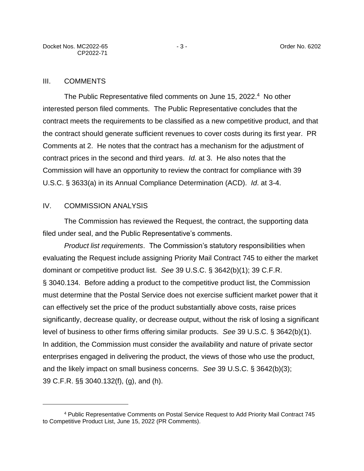#### III. COMMENTS

The Public Representative filed comments on June 15, 2022.<sup>4</sup> No other interested person filed comments. The Public Representative concludes that the contract meets the requirements to be classified as a new competitive product, and that the contract should generate sufficient revenues to cover costs during its first year. PR Comments at 2. He notes that the contract has a mechanism for the adjustment of contract prices in the second and third years. *Id.* at 3.He also notes that the Commission will have an opportunity to review the contract for compliance with 39 U.S.C. § 3633(a) in its Annual Compliance Determination (ACD). *Id*. at 3-4.

#### IV. COMMISSION ANALYSIS

The Commission has reviewed the Request, the contract, the supporting data filed under seal, and the Public Representative's comments.

*Product list requirements*. The Commission's statutory responsibilities when evaluating the Request include assigning Priority Mail Contract 745 to either the market dominant or competitive product list. *See* 39 U.S.C. § 3642(b)(1); 39 C.F.R. § 3040.134. Before adding a product to the competitive product list, the Commission must determine that the Postal Service does not exercise sufficient market power that it can effectively set the price of the product substantially above costs, raise prices significantly, decrease quality, or decrease output, without the risk of losing a significant level of business to other firms offering similar products. *See* 39 U.S.C. § 3642(b)(1). In addition, the Commission must consider the availability and nature of private sector enterprises engaged in delivering the product, the views of those who use the product, and the likely impact on small business concerns. *See* 39 U.S.C. § 3642(b)(3); 39 C.F.R. §§ 3040.132(f), (g), and (h).

<sup>4</sup> Public Representative Comments on Postal Service Request to Add Priority Mail Contract 745 to Competitive Product List, June 15, 2022 (PR Comments).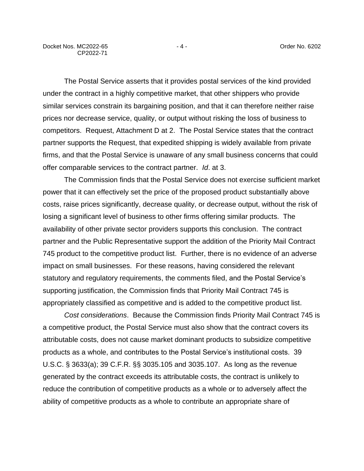The Postal Service asserts that it provides postal services of the kind provided under the contract in a highly competitive market, that other shippers who provide similar services constrain its bargaining position, and that it can therefore neither raise prices nor decrease service, quality, or output without risking the loss of business to competitors. Request, Attachment D at 2. The Postal Service states that the contract partner supports the Request, that expedited shipping is widely available from private firms, and that the Postal Service is unaware of any small business concerns that could offer comparable services to the contract partner. *Id*. at 3.

The Commission finds that the Postal Service does not exercise sufficient market power that it can effectively set the price of the proposed product substantially above costs, raise prices significantly, decrease quality, or decrease output, without the risk of losing a significant level of business to other firms offering similar products. The availability of other private sector providers supports this conclusion. The contract partner and the Public Representative support the addition of the Priority Mail Contract 745 product to the competitive product list. Further, there is no evidence of an adverse impact on small businesses. For these reasons, having considered the relevant statutory and regulatory requirements, the comments filed, and the Postal Service's supporting justification, the Commission finds that Priority Mail Contract 745 is appropriately classified as competitive and is added to the competitive product list.

*Cost considerations*. Because the Commission finds Priority Mail Contract 745 is a competitive product, the Postal Service must also show that the contract covers its attributable costs, does not cause market dominant products to subsidize competitive products as a whole, and contributes to the Postal Service's institutional costs. 39 U.S.C. § 3633(a); 39 C.F.R. §§ 3035.105 and 3035.107. As long as the revenue generated by the contract exceeds its attributable costs, the contract is unlikely to reduce the contribution of competitive products as a whole or to adversely affect the ability of competitive products as a whole to contribute an appropriate share of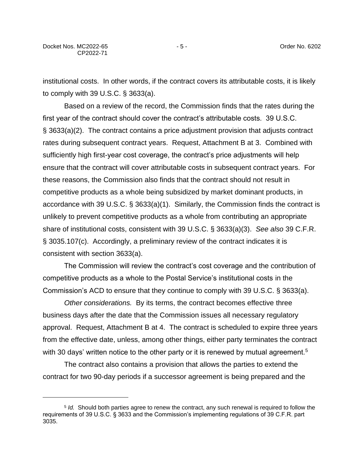institutional costs. In other words, if the contract covers its attributable costs, it is likely to comply with 39 U.S.C. § 3633(a).

Based on a review of the record, the Commission finds that the rates during the first year of the contract should cover the contract's attributable costs. 39 U.S.C. § 3633(a)(2). The contract contains a price adjustment provision that adjusts contract rates during subsequent contract years. Request, Attachment B at 3. Combined with sufficiently high first-year cost coverage, the contract's price adjustments will help ensure that the contract will cover attributable costs in subsequent contract years. For these reasons, the Commission also finds that the contract should not result in competitive products as a whole being subsidized by market dominant products, in accordance with 39 U.S.C. § 3633(a)(1). Similarly, the Commission finds the contract is unlikely to prevent competitive products as a whole from contributing an appropriate share of institutional costs, consistent with 39 U.S.C. § 3633(a)(3). *See also* 39 C.F.R. § 3035.107(c). Accordingly, a preliminary review of the contract indicates it is consistent with section 3633(a).

The Commission will review the contract's cost coverage and the contribution of competitive products as a whole to the Postal Service's institutional costs in the Commission's ACD to ensure that they continue to comply with 39 U.S.C. § 3633(a).

*Other considerations.* By its terms, the contract becomes effective three business days after the date that the Commission issues all necessary regulatory approval. Request, Attachment B at 4. The contract is scheduled to expire three years from the effective date, unless, among other things, either party terminates the contract with 30 days' written notice to the other party or it is renewed by mutual agreement.<sup>5</sup>

The contract also contains a provision that allows the parties to extend the contract for two 90-day periods if a successor agreement is being prepared and the

<sup>5</sup> *Id.* Should both parties agree to renew the contract, any such renewal is required to follow the requirements of 39 U.S.C. § 3633 and the Commission's implementing regulations of 39 C.F.R. part 3035.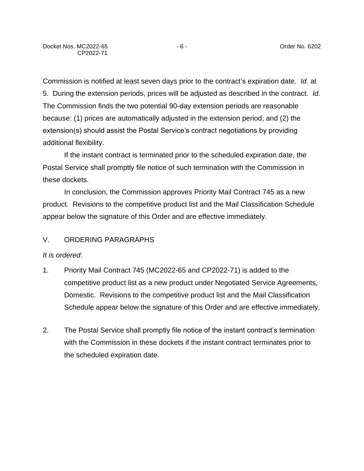Commission is notified at least seven days prior to the contract's expiration date. *Id.* at 5. During the extension periods, prices will be adjusted as described in the contract. *Id.* The Commission finds the two potential 90-day extension periods are reasonable because: (1) prices are automatically adjusted in the extension period; and (2) the extension(s) should assist the Postal Service's contract negotiations by providing additional flexibility.

If the instant contract is terminated prior to the scheduled expiration date, the Postal Service shall promptly file notice of such termination with the Commission in these dockets.

In conclusion, the Commission approves Priority Mail Contract 745 as a new product. Revisions to the competitive product list and the Mail Classification Schedule appear below the signature of this Order and are effective immediately.

# V. ORDERING PARAGRAPHS

### *It is ordered*:

- 1. Priority Mail Contract 745 (MC2022-65 and CP2022-71) is added to the competitive product list as a new product under Negotiated Service Agreements, Domestic. Revisions to the competitive product list and the Mail Classification Schedule appear below the signature of this Order and are effective immediately.
- 2. The Postal Service shall promptly file notice of the instant contract's termination with the Commission in these dockets if the instant contract terminates prior to the scheduled expiration date.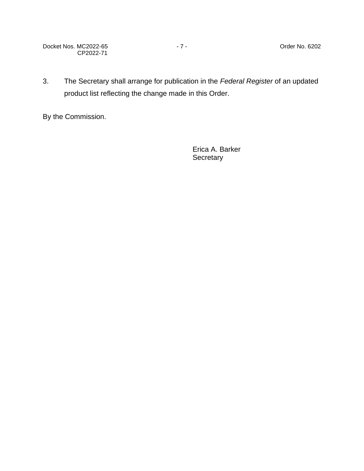Docket Nos. MC2022-65 - 7 - 2002 - 7 - 2002 - 7 - 2002 - 2010 - 2010 - 2010 - 2010 - 2010 - 2010 - 2010 - 2010 CP2022-71

3. The Secretary shall arrange for publication in the *Federal Register* of an updated product list reflecting the change made in this Order.

By the Commission.

Erica A. Barker **Secretary**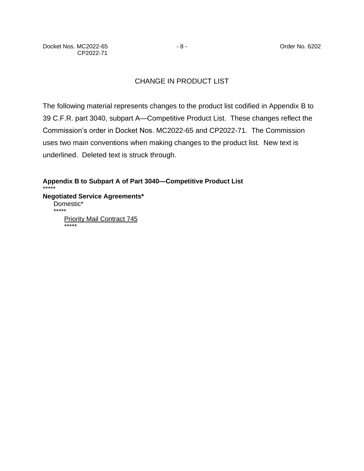# CHANGE IN PRODUCT LIST

The following material represents changes to the product list codified in Appendix B to 39 C.F.R. part 3040, subpart A—Competitive Product List. These changes reflect the Commission's order in Docket Nos. MC2022-65 and CP2022-71. The Commission uses two main conventions when making changes to the product list. New text is underlined. Deleted text is struck through.

**Appendix B to Subpart A of Part 3040—Competitive Product List** \*\*\*\*\* **Negotiated Service Agreements\*** Domestic\* \*\*\*\*\* **Priority Mail Contract 745** \*\*\*\*\*